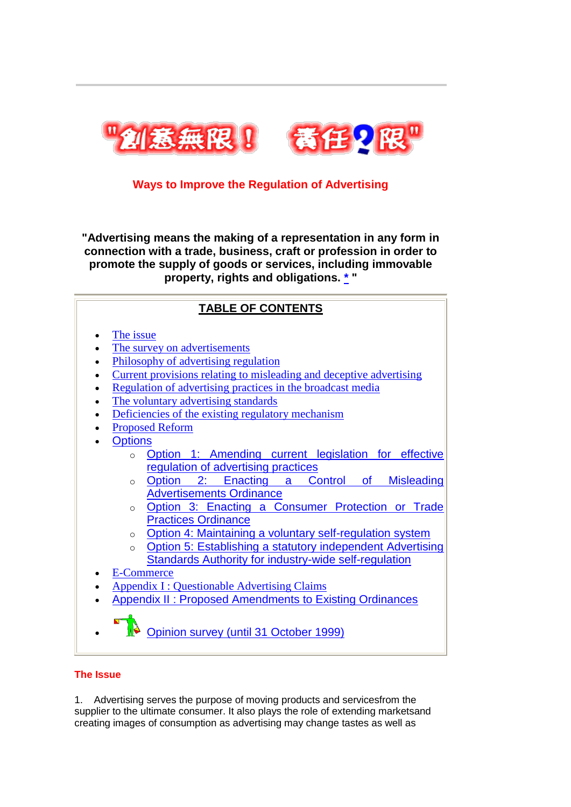

# **Ways to Improve the Regulation of Advertising**

**"Advertising means the making of a representation in any form in connection with a trade, business, craft or profession in order to promote the supply of goods or services, including immovable property, rights and obligations. [\\*](http://www.consumer.org.hk/website/wrap_en2/misad99/english/report.htm#cover01) "**

# **TABLE OF CONTENTS**

- [The issue](http://www.consumer.org.hk/website/wrap_en2/misad99/english/report.htm#The%20Issue)
- [The survey on advertisements](http://www.consumer.org.hk/website/wrap_en2/misad99/english/report.htm#The%20survey%20on%20advertisements)
- [Philosophy of advertising regulation](http://www.consumer.org.hk/website/wrap_en2/misad99/english/report.htm#Philosophy%20of%20advertising%20regulation)
- [Current provisions relating to misleading and deceptive advertising](http://www.consumer.org.hk/website/wrap_en2/misad99/english/report.htm#Current%20provisions%20relating%20to%20misleading%20and%20deceptive%20advertising)
- [Regulation of advertising practices in the broadcast media](http://www.consumer.org.hk/website/wrap_en2/misad99/english/report.htm#Regulation%20of%20advertising%20practices%20in%20the%20broadcast%20media)
- [The voluntary advertising standards](http://www.consumer.org.hk/website/wrap_en2/misad99/english/report.htm#The%20voluntary%20advertising%20standards)
- [Deficiencies of the existing regulatory mechanism](http://www.consumer.org.hk/website/wrap_en2/misad99/english/report.htm#Deficiencies%20of%20the%20existing%20regulatory%20mechanism)
- [Proposed Reform](http://www.consumer.org.hk/website/wrap_en2/misad99/english/report.htm#Proposed%20Reform)
- **[Options](http://www.consumer.org.hk/website/wrap_en2/misad99/english/report.htm#Options)** 
	- o [Option 1: Amending current legislation for effective](http://www.consumer.org.hk/website/wrap_en2/misad99/english/report.htm#Option%201)  [regulation of advertising practices](http://www.consumer.org.hk/website/wrap_en2/misad99/english/report.htm#Option%201)
	- o [Option 2: Enacting a Control of Misleading](http://www.consumer.org.hk/website/wrap_en2/misad99/english/report.htm#Option%202)  [Advertisements Ordinance](http://www.consumer.org.hk/website/wrap_en2/misad99/english/report.htm#Option%202)
	- o [Option 3: Enacting a Consumer Protection or Trade](http://www.consumer.org.hk/website/wrap_en2/misad99/english/report.htm#Option%203)  [Practices Ordinance](http://www.consumer.org.hk/website/wrap_en2/misad99/english/report.htm#Option%203)
	- o [Option 4: Maintaining a voluntary self-regulation system](http://www.consumer.org.hk/website/wrap_en2/misad99/english/report.htm#Option%204)
	- o [Option 5: Establishing a statutory independent Advertising](http://www.consumer.org.hk/website/wrap_en2/misad99/english/report.htm#Option%205)  [Standards Authority for industry-wide self-regulation](http://www.consumer.org.hk/website/wrap_en2/misad99/english/report.htm#Option%205)
- [E-Commerce](http://www.consumer.org.hk/website/wrap_en2/misad99/english/report.htm#E-Commerce)
- [Appendix I : Questionable Advertising Claims](http://www.consumer.org.hk/website/wrap_en2/misad99/english/app1.htm)
- [Appendix II : Proposed Amendments to Existing Ordinances](http://www.consumer.org.hk/website/wrap_en2/misad99/english/app2.htm)
- [Opinion survey \(until 31 October 1999\)](http://www.consumer.org.hk/ccweb/feedback.nsf)

# **The Issue**

1. Advertising serves the purpose of moving products and servicesfrom the supplier to the ultimate consumer. It also plays the role of extending marketsand creating images of consumption as advertising may change tastes as well as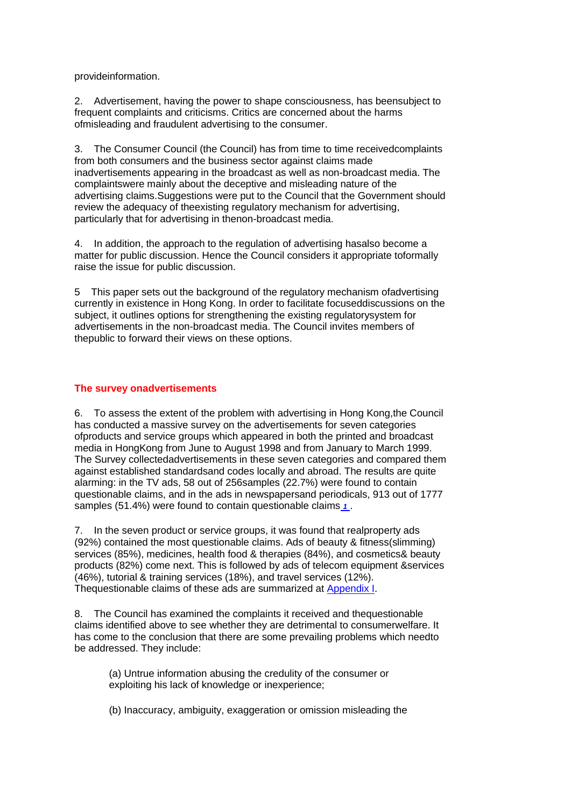provideinformation.

2. Advertisement, having the power to shape consciousness, has beensubject to frequent complaints and criticisms. Critics are concerned about the harms ofmisleading and fraudulent advertising to the consumer.

3. The Consumer Council (the Council) has from time to time receivedcomplaints from both consumers and the business sector against claims made inadvertisements appearing in the broadcast as well as non-broadcast media. The complaintswere mainly about the deceptive and misleading nature of the advertising claims.Suggestions were put to the Council that the Government should review the adequacy of theexisting regulatory mechanism for advertising, particularly that for advertising in thenon-broadcast media.

4. In addition, the approach to the regulation of advertising hasalso become a matter for public discussion. Hence the Council considers it appropriate toformally raise the issue for public discussion.

5 This paper sets out the background of the regulatory mechanism ofadvertising currently in existence in Hong Kong. In order to facilitate focuseddiscussions on the subject, it outlines options for strengthening the existing regulatorysystem for advertisements in the non-broadcast media. The Council invites members of thepublic to forward their views on these options.

# **The survey onadvertisements**

6. To assess the extent of the problem with advertising in Hong Kong,the Council has conducted a massive survey on the advertisements for seven categories ofproducts and service groups which appeared in both the printed and broadcast media in HongKong from June to August 1998 and from January to March 1999. The Survey collectedadvertisements in these seven categories and compared them against established standardsand codes locally and abroad. The results are quite alarming: in the TV ads, 58 out of 256samples (22.7%) were found to contain questionable claims, and in the ads in newspapersand periodicals, 913 out of 1777 samples (51.4%) were found to contain questionable claims *[1](http://www.consumer.org.hk/website/wrap_en2/misad99/english/report.htm#Remark1)* .

7. In the seven product or service groups, it was found that realproperty ads (92%) contained the most questionable claims. Ads of beauty & fitness(slimming) services (85%), medicines, health food & therapies (84%), and cosmetics& beauty products (82%) come next. This is followed by ads of telecom equipment &services (46%), tutorial & training services (18%), and travel services (12%). Thequestionable claims of these ads are summarized at [Appendix I.](http://www.consumer.org.hk/website/wrap_en2/misad99/english/app1.htm)

8. The Council has examined the complaints it received and thequestionable claims identified above to see whether they are detrimental to consumerwelfare. It has come to the conclusion that there are some prevailing problems which needto be addressed. They include:

(a) Untrue information abusing the credulity of the consumer or exploiting his lack of knowledge or inexperience;

(b) Inaccuracy, ambiguity, exaggeration or omission misleading the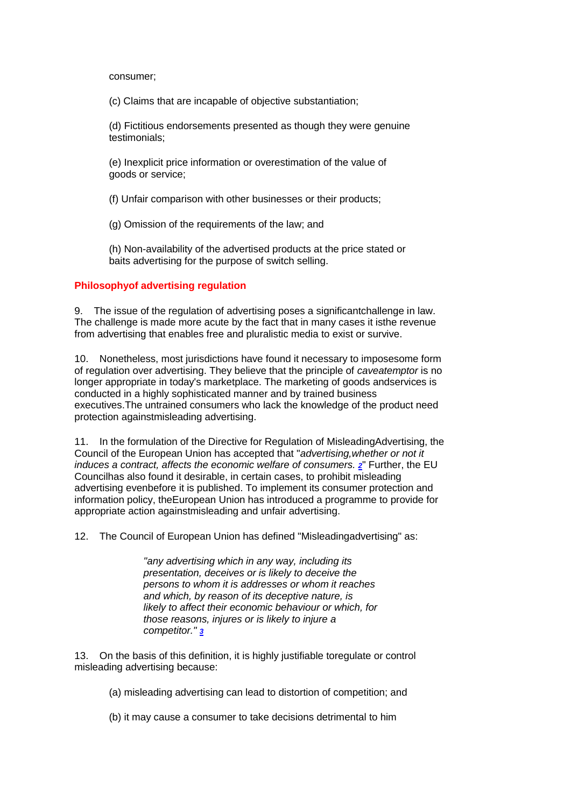consumer;

(c) Claims that are incapable of objective substantiation;

(d) Fictitious endorsements presented as though they were genuine testimonials;

(e) Inexplicit price information or overestimation of the value of goods or service;

(f) Unfair comparison with other businesses or their products;

(g) Omission of the requirements of the law; and

(h) Non-availability of the advertised products at the price stated or baits advertising for the purpose of switch selling.

# **Philosophyof advertising regulation**

9. The issue of the regulation of advertising poses a significantchallenge in law. The challenge is made more acute by the fact that in many cases it isthe revenue from advertising that enables free and pluralistic media to exist or survive.

10. Nonetheless, most jurisdictions have found it necessary to imposesome form of regulation over advertising. They believe that the principle of *caveatemptor* is no longer appropriate in today's marketplace. The marketing of goods andservices is conducted in a highly sophisticated manner and by trained business executives.The untrained consumers who lack the knowledge of the product need protection againstmisleading advertising.

11. In the formulation of the Directive for Regulation of MisleadingAdvertising, the Council of the European Union has accepted that "*advertising,whether or not it induces a contract, affects the economic welfare of consumers. [2](http://www.consumer.org.hk/website/wrap_en2/misad99/english/report.htm#Remark2)*" Further, the EU Councilhas also found it desirable, in certain cases, to prohibit misleading advertising evenbefore it is published. To implement its consumer protection and information policy, theEuropean Union has introduced a programme to provide for appropriate action againstmisleading and unfair advertising.

12. The Council of European Union has defined "Misleadingadvertising" as:

*"any advertising which in any way, including its presentation, deceives or is likely to deceive the persons to whom it is addresses or whom it reaches and which, by reason of its deceptive nature, is likely to affect their economic behaviour or which, for those reasons, injures or is likely to injure a competitor." [3](http://www.consumer.org.hk/website/wrap_en2/misad99/english/report.htm#Remark3)*

13. On the basis of this definition, it is highly justifiable toregulate or control misleading advertising because:

(a) misleading advertising can lead to distortion of competition; and

(b) it may cause a consumer to take decisions detrimental to him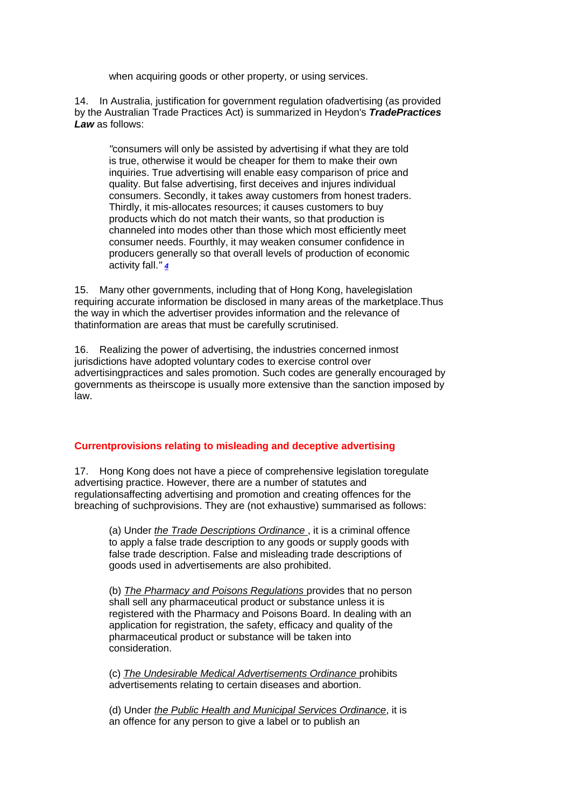when acquiring goods or other property, or using services.

14. In Australia, justification for government regulation ofadvertising (as provided by the Australian Trade Practices Act) is summarized in Heydon's *TradePractices Law* as follows:

*"*consumers will only be assisted by advertising if what they are told is true, otherwise it would be cheaper for them to make their own inquiries. True advertising will enable easy comparison of price and quality. But false advertising, first deceives and injures individual consumers. Secondly, it takes away customers from honest traders. Thirdly, it mis-allocates resources; it causes customers to buy products which do not match their wants, so that production is channeled into modes other than those which most efficiently meet consumer needs. Fourthly, it may weaken consumer confidence in producers generally so that overall levels of production of economic activity fall.*" [4](http://www.consumer.org.hk/website/wrap_en2/misad99/english/report.htm#Remark4)*

15. Many other governments, including that of Hong Kong, havelegislation requiring accurate information be disclosed in many areas of the marketplace.Thus the way in which the advertiser provides information and the relevance of thatinformation are areas that must be carefully scrutinised.

16. Realizing the power of advertising, the industries concerned inmost jurisdictions have adopted voluntary codes to exercise control over advertisingpractices and sales promotion. Such codes are generally encouraged by governments as theirscope is usually more extensive than the sanction imposed by law.

# **Currentprovisions relating to misleading and deceptive advertising**

17. Hong Kong does not have a piece of comprehensive legislation toregulate advertising practice. However, there are a number of statutes and regulationsaffecting advertising and promotion and creating offences for the breaching of suchprovisions. They are (not exhaustive) summarised as follows:

(a) Under *the Trade Descriptions Ordinance* , it is a criminal offence to apply a false trade description to any goods or supply goods with false trade description. False and misleading trade descriptions of goods used in advertisements are also prohibited.

(b) *The Pharmacy and Poisons Regulations* provides that no person shall sell any pharmaceutical product or substance unless it is registered with the Pharmacy and Poisons Board. In dealing with an application for registration, the safety, efficacy and quality of the pharmaceutical product or substance will be taken into consideration.

(c) *The Undesirable Medical Advertisements Ordinance* prohibits advertisements relating to certain diseases and abortion.

(d) Under *the Public Health and Municipal Services Ordinance*, it is an offence for any person to give a label or to publish an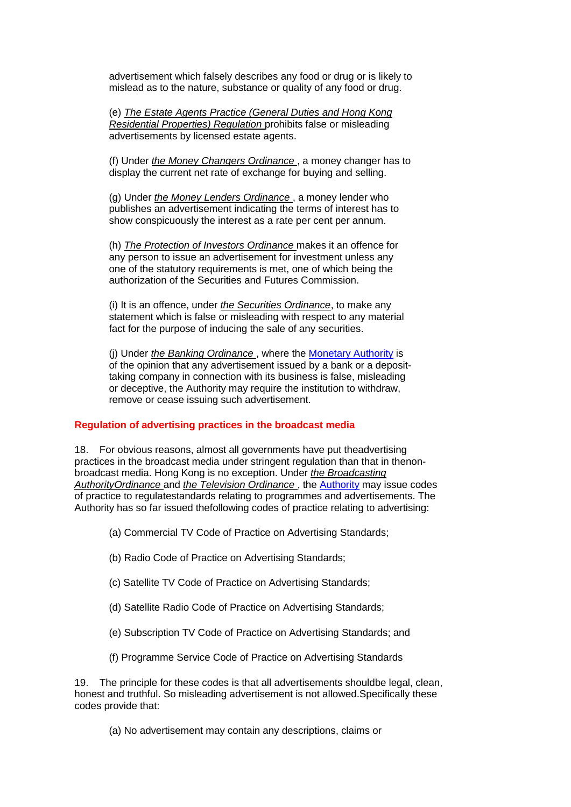advertisement which falsely describes any food or drug or is likely to mislead as to the nature, substance or quality of any food or drug.

(e) *The Estate Agents Practice (General Duties and Hong Kong Residential Properties) Regulation* prohibits false or misleading advertisements by licensed estate agents.

(f) Under *the Money Changers Ordinance* , a money changer has to display the current net rate of exchange for buying and selling.

(g) Under *the Money Lenders Ordinance* , a money lender who publishes an advertisement indicating the terms of interest has to show conspicuously the interest as a rate per cent per annum.

(h) *The Protection of Investors Ordinance* makes it an offence for any person to issue an advertisement for investment unless any one of the statutory requirements is met, one of which being the authorization of the Securities and Futures Commission.

(i) It is an offence, under *the Securities Ordinance*, to make any statement which is false or misleading with respect to any material fact for the purpose of inducing the sale of any securities.

(j) Under *the Banking Ordinance* , where the [Monetary Authority](http://www.info.gov.hk/hkma/) is of the opinion that any advertisement issued by a bank or a deposittaking company in connection with its business is false, misleading or deceptive, the Authority may require the institution to withdraw, remove or cease issuing such advertisement.

#### **Regulation of advertising practices in the broadcast media**

18. For obvious reasons, almost all governments have put theadvertising practices in the broadcast media under stringent regulation than that in thenonbroadcast media. Hong Kong is no exception. Under *the Broadcasting AuthorityOrdinance* and *the Television Ordinance* , the [Authority](http://www.hkba.org.hk/) may issue codes of practice to regulatestandards relating to programmes and advertisements. The Authority has so far issued thefollowing codes of practice relating to advertising:

(a) Commercial TV Code of Practice on Advertising Standards;

- (b) Radio Code of Practice on Advertising Standards;
- (c) Satellite TV Code of Practice on Advertising Standards;
- (d) Satellite Radio Code of Practice on Advertising Standards;
- (e) Subscription TV Code of Practice on Advertising Standards; and
- (f) Programme Service Code of Practice on Advertising Standards

19. The principle for these codes is that all advertisements shouldbe legal, clean, honest and truthful. So misleading advertisement is not allowed.Specifically these codes provide that:

(a) No advertisement may contain any descriptions, claims or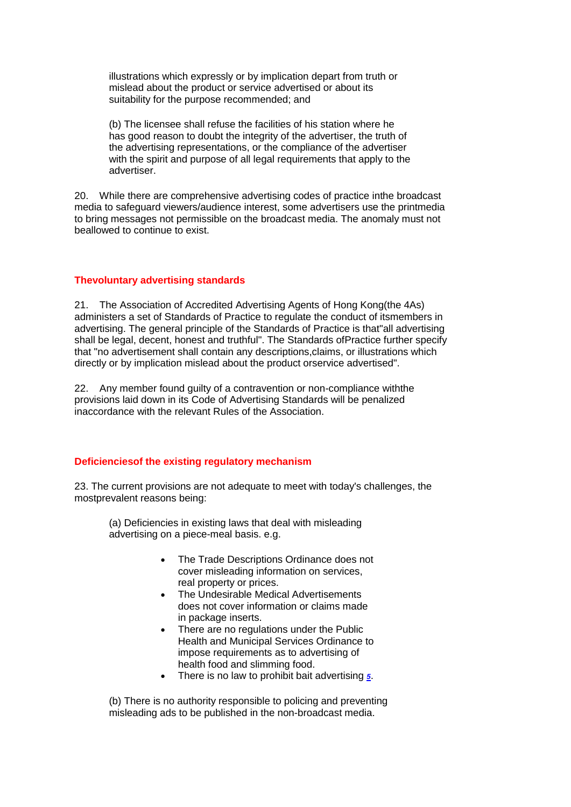illustrations which expressly or by implication depart from truth or mislead about the product or service advertised or about its suitability for the purpose recommended; and

(b) The licensee shall refuse the facilities of his station where he has good reason to doubt the integrity of the advertiser, the truth of the advertising representations, or the compliance of the advertiser with the spirit and purpose of all legal requirements that apply to the advertiser.

20. While there are comprehensive advertising codes of practice inthe broadcast media to safeguard viewers/audience interest, some advertisers use the printmedia to bring messages not permissible on the broadcast media. The anomaly must not beallowed to continue to exist.

# **Thevoluntary advertising standards**

21. The Association of Accredited Advertising Agents of Hong Kong(the 4As) administers a set of Standards of Practice to regulate the conduct of itsmembers in advertising. The general principle of the Standards of Practice is that"all advertising shall be legal, decent, honest and truthful". The Standards ofPractice further specify that "no advertisement shall contain any descriptions,claims, or illustrations which directly or by implication mislead about the product orservice advertised".

22. Any member found guilty of a contravention or non-compliance withthe provisions laid down in its Code of Advertising Standards will be penalized inaccordance with the relevant Rules of the Association.

#### **Deficienciesof the existing regulatory mechanism**

23. The current provisions are not adequate to meet with today's challenges, the mostprevalent reasons being:

(a) Deficiencies in existing laws that deal with misleading advertising on a piece-meal basis. e.g.

- The Trade Descriptions Ordinance does not cover misleading information on services, real property or prices.
- The Undesirable Medical Advertisements does not cover information or claims made in package inserts.
- There are no regulations under the Public Health and Municipal Services Ordinance to impose requirements as to advertising of health food and slimming food.
- There is no law to prohibit bait advertising *[5](http://www.consumer.org.hk/website/wrap_en2/misad99/english/report.htm#Remark5)*.

(b) There is no authority responsible to policing and preventing misleading ads to be published in the non-broadcast media.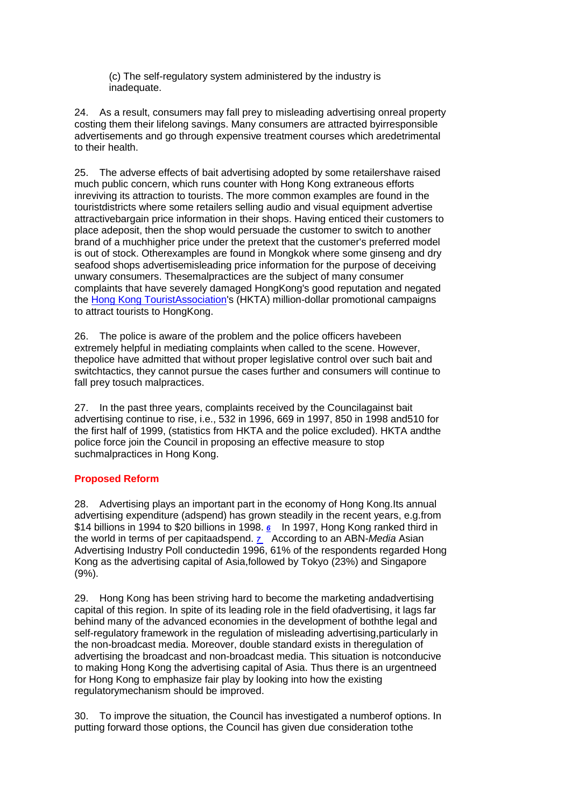(c) The self-regulatory system administered by the industry is inadequate.

24. As a result, consumers may fall prey to misleading advertising onreal property costing them their lifelong savings. Many consumers are attracted byirresponsible advertisements and go through expensive treatment courses which aredetrimental to their health.

25. The adverse effects of bait advertising adopted by some retailershave raised much public concern, which runs counter with Hong Kong extraneous efforts inreviving its attraction to tourists. The more common examples are found in the touristdistricts where some retailers selling audio and visual equipment advertise attractivebargain price information in their shops. Having enticed their customers to place adeposit, then the shop would persuade the customer to switch to another brand of a muchhigher price under the pretext that the customer's preferred model is out of stock. Otherexamples are found in Mongkok where some ginseng and dry seafood shops advertisemisleading price information for the purpose of deceiving unwary consumers. Thesemalpractices are the subject of many consumer complaints that have severely damaged HongKong's good reputation and negated the [Hong Kong TouristAssociation's](http://www.hkta.org/) (HKTA) million-dollar promotional campaigns to attract tourists to HongKong.

26. The police is aware of the problem and the police officers havebeen extremely helpful in mediating complaints when called to the scene. However, thepolice have admitted that without proper legislative control over such bait and switchtactics, they cannot pursue the cases further and consumers will continue to fall prey tosuch malpractices.

27. In the past three years, complaints received by the Councilagainst bait advertising continue to rise, i.e., 532 in 1996, 669 in 1997, 850 in 1998 and510 for the first half of 1999, (statistics from HKTA and the police excluded). HKTA andthe police force join the Council in proposing an effective measure to stop suchmalpractices in Hong Kong.

# **Proposed Reform**

28. Advertising plays an important part in the economy of Hong Kong.Its annual advertising expenditure (adspend) has grown steadily in the recent years, e.g.from \$14 billions in 1994 to \$20 billions in 1998. *[6](http://www.consumer.org.hk/website/wrap_en2/misad99/english/report.htm#Remark6)* In 1997, Hong Kong ranked third in the world in terms of per capitaadspend. *[7](http://www.consumer.org.hk/website/wrap_en2/misad99/english/report.htm#Remark7)* According to an ABN-*Media* Asian Advertising Industry Poll conductedin 1996, 61% of the respondents regarded Hong Kong as the advertising capital of Asia,followed by Tokyo (23%) and Singapore (9%).

29. Hong Kong has been striving hard to become the marketing andadvertising capital of this region. In spite of its leading role in the field ofadvertising, it lags far behind many of the advanced economies in the development of boththe legal and self-regulatory framework in the regulation of misleading advertising,particularly in the non-broadcast media. Moreover, double standard exists in theregulation of advertising the broadcast and non-broadcast media. This situation is notconducive to making Hong Kong the advertising capital of Asia. Thus there is an urgentneed for Hong Kong to emphasize fair play by looking into how the existing regulatorymechanism should be improved.

30. To improve the situation, the Council has investigated a numberof options. In putting forward those options, the Council has given due consideration tothe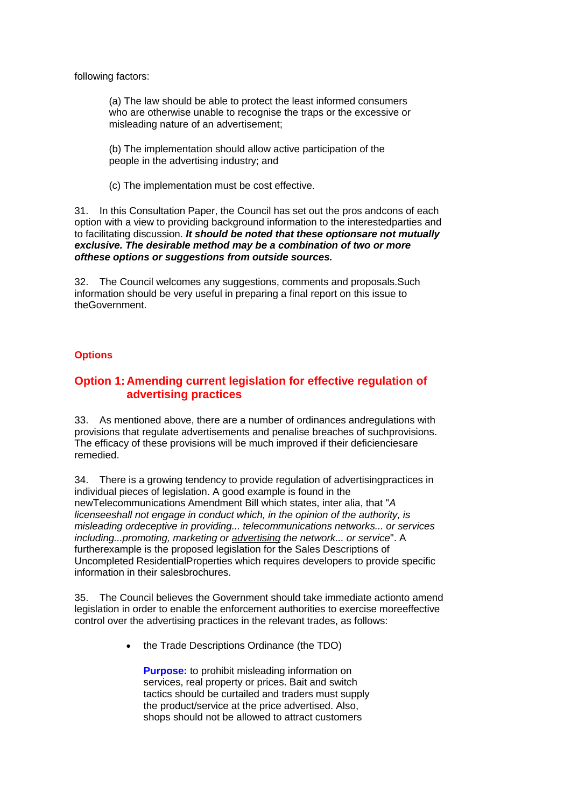following factors:

(a) The law should be able to protect the least informed consumers who are otherwise unable to recognise the traps or the excessive or misleading nature of an advertisement;

(b) The implementation should allow active participation of the people in the advertising industry; and

(c) The implementation must be cost effective.

31. In this Consultation Paper, the Council has set out the pros andcons of each option with a view to providing background information to the interestedparties and to facilitating discussion. *It should be noted that these optionsare not mutually exclusive. The desirable method may be a combination of two or more ofthese options or suggestions from outside sources.*

32. The Council welcomes any suggestions, comments and proposals.Such information should be very useful in preparing a final report on this issue to theGovernment.

### **Options**

# **Option 1: Amending current legislation for effective regulation of advertising practices**

33. As mentioned above, there are a number of ordinances andregulations with provisions that regulate advertisements and penalise breaches of suchprovisions. The efficacy of these provisions will be much improved if their deficienciesare remedied.

34. There is a growing tendency to provide regulation of advertisingpractices in individual pieces of legislation. A good example is found in the newTelecommunications Amendment Bill which states, inter alia, that "*A licenseeshall not engage in conduct which, in the opinion of the authority, is misleading ordeceptive in providing... telecommunications networks... or services including...promoting, marketing or advertising the network... or service*". A furtherexample is the proposed legislation for the Sales Descriptions of Uncompleted ResidentialProperties which requires developers to provide specific information in their salesbrochures.

35. The Council believes the Government should take immediate actionto amend legislation in order to enable the enforcement authorities to exercise moreeffective control over the advertising practices in the relevant trades, as follows:

• the Trade Descriptions Ordinance (the TDO)

**Purpose:** to prohibit misleading information on services, real property or prices. Bait and switch tactics should be curtailed and traders must supply the product/service at the price advertised. Also, shops should not be allowed to attract customers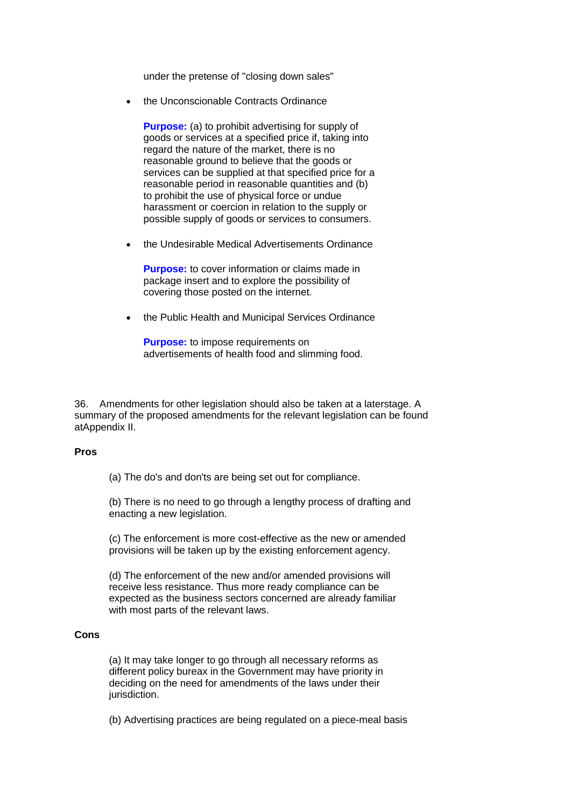under the pretense of "closing down sales"

the Unconscionable Contracts Ordinance

**Purpose:** (a) to prohibit advertising for supply of goods or services at a specified price if, taking into regard the nature of the market, there is no reasonable ground to believe that the goods or services can be supplied at that specified price for a reasonable period in reasonable quantities and (b) to prohibit the use of physical force or undue harassment or coercion in relation to the supply or possible supply of goods or services to consumers.

the Undesirable Medical Advertisements Ordinance

**Purpose:** to cover information or claims made in package insert and to explore the possibility of covering those posted on the internet.

the Public Health and Municipal Services Ordinance

**Purpose:** to impose requirements on advertisements of health food and slimming food.

36. Amendments for other legislation should also be taken at a laterstage. A summary of the proposed amendments for the relevant legislation can be found atAppendix II.

#### **Pros**

(a) The do's and don'ts are being set out for compliance.

(b) There is no need to go through a lengthy process of drafting and enacting a new legislation.

(c) The enforcement is more cost-effective as the new or amended provisions will be taken up by the existing enforcement agency.

(d) The enforcement of the new and/or amended provisions will receive less resistance. Thus more ready compliance can be expected as the business sectors concerned are already familiar with most parts of the relevant laws.

#### **Cons**

(a) It may take longer to go through all necessary reforms as different policy bureax in the Government may have priority in deciding on the need for amendments of the laws under their jurisdiction.

(b) Advertising practices are being regulated on a piece-meal basis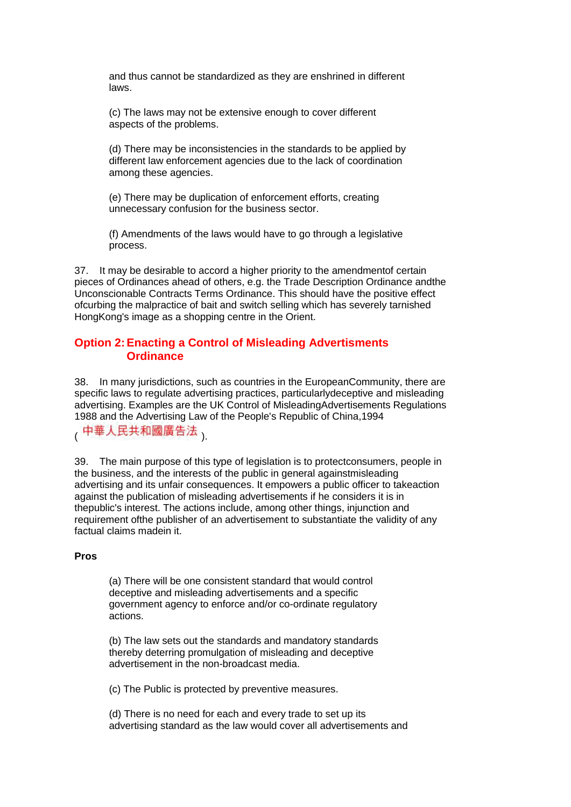and thus cannot be standardized as they are enshrined in different laws.

(c) The laws may not be extensive enough to cover different aspects of the problems.

(d) There may be inconsistencies in the standards to be applied by different law enforcement agencies due to the lack of coordination among these agencies.

(e) There may be duplication of enforcement efforts, creating unnecessary confusion for the business sector.

(f) Amendments of the laws would have to go through a legislative process.

37. It may be desirable to accord a higher priority to the amendmentof certain pieces of Ordinances ahead of others, e.g. the Trade Description Ordinance andthe Unconscionable Contracts Terms Ordinance. This should have the positive effect ofcurbing the malpractice of bait and switch selling which has severely tarnished HongKong's image as a shopping centre in the Orient.

# **Option 2:Enacting a Control of Misleading Advertisments Ordinance**

38. In many jurisdictions, such as countries in the EuropeanCommunity, there are specific laws to regulate advertising practices, particularlydeceptive and misleading advertising. Examples are the UK Control of MisleadingAdvertisements Regulations 1988 and the Advertising Law of the People's Republic of China,1994

中華人民共和國廣告法、

39. The main purpose of this type of legislation is to protectconsumers, people in the business, and the interests of the public in general againstmisleading advertising and its unfair consequences. It empowers a public officer to takeaction against the publication of misleading advertisements if he considers it is in thepublic's interest. The actions include, among other things, injunction and requirement ofthe publisher of an advertisement to substantiate the validity of any factual claims madein it.

#### **Pros**

(a) There will be one consistent standard that would control deceptive and misleading advertisements and a specific government agency to enforce and/or co-ordinate regulatory actions.

(b) The law sets out the standards and mandatory standards thereby deterring promulgation of misleading and deceptive advertisement in the non-broadcast media.

(c) The Public is protected by preventive measures.

(d) There is no need for each and every trade to set up its advertising standard as the law would cover all advertisements and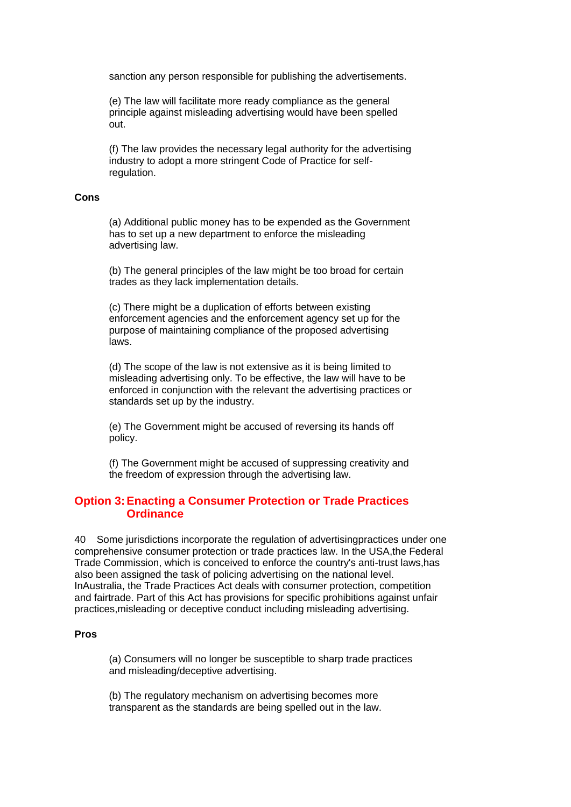sanction any person responsible for publishing the advertisements.

(e) The law will facilitate more ready compliance as the general principle against misleading advertising would have been spelled out.

(f) The law provides the necessary legal authority for the advertising industry to adopt a more stringent Code of Practice for selfregulation.

#### **Cons**

(a) Additional public money has to be expended as the Government has to set up a new department to enforce the misleading advertising law.

(b) The general principles of the law might be too broad for certain trades as they lack implementation details.

(c) There might be a duplication of efforts between existing enforcement agencies and the enforcement agency set up for the purpose of maintaining compliance of the proposed advertising laws.

(d) The scope of the law is not extensive as it is being limited to misleading advertising only. To be effective, the law will have to be enforced in conjunction with the relevant the advertising practices or standards set up by the industry.

(e) The Government might be accused of reversing its hands off policy.

(f) The Government might be accused of suppressing creativity and the freedom of expression through the advertising law.

# **Option 3:Enacting a Consumer Protection or Trade Practices Ordinance**

40 Some jurisdictions incorporate the regulation of advertisingpractices under one comprehensive consumer protection or trade practices law. In the USA,the Federal Trade Commission, which is conceived to enforce the country's anti-trust laws,has also been assigned the task of policing advertising on the national level. InAustralia, the Trade Practices Act deals with consumer protection, competition and fairtrade. Part of this Act has provisions for specific prohibitions against unfair practices,misleading or deceptive conduct including misleading advertising.

### **Pros**

(a) Consumers will no longer be susceptible to sharp trade practices and misleading/deceptive advertising.

(b) The regulatory mechanism on advertising becomes more transparent as the standards are being spelled out in the law.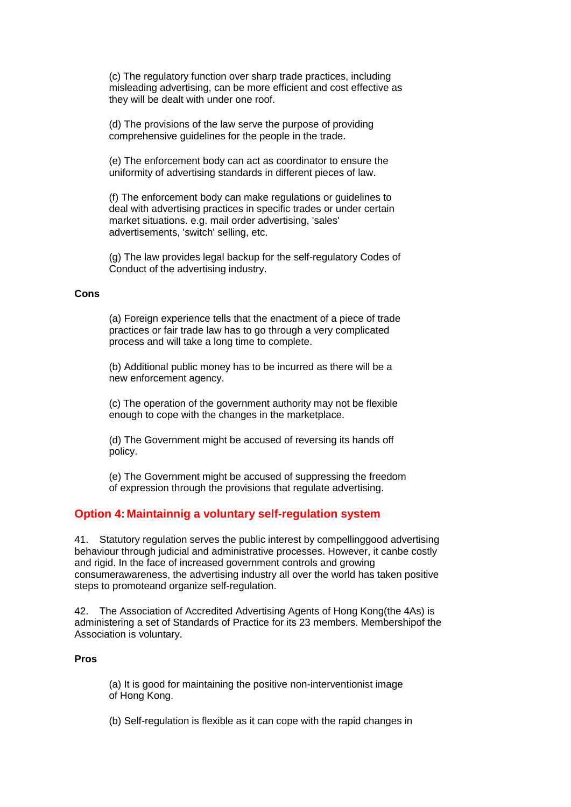(c) The regulatory function over sharp trade practices, including misleading advertising, can be more efficient and cost effective as they will be dealt with under one roof.

(d) The provisions of the law serve the purpose of providing comprehensive guidelines for the people in the trade.

(e) The enforcement body can act as coordinator to ensure the uniformity of advertising standards in different pieces of law.

(f) The enforcement body can make regulations or guidelines to deal with advertising practices in specific trades or under certain market situations. e.g. mail order advertising, 'sales' advertisements, 'switch' selling, etc.

(g) The law provides legal backup for the self-regulatory Codes of Conduct of the advertising industry.

#### **Cons**

(a) Foreign experience tells that the enactment of a piece of trade practices or fair trade law has to go through a very complicated process and will take a long time to complete.

(b) Additional public money has to be incurred as there will be a new enforcement agency.

(c) The operation of the government authority may not be flexible enough to cope with the changes in the marketplace.

(d) The Government might be accused of reversing its hands off policy.

(e) The Government might be accused of suppressing the freedom of expression through the provisions that regulate advertising.

# **Option 4: Maintainnig a voluntary self-regulation system**

41. Statutory regulation serves the public interest by compellinggood advertising behaviour through judicial and administrative processes. However, it canbe costly and rigid. In the face of increased government controls and growing consumerawareness, the advertising industry all over the world has taken positive steps to promoteand organize self-regulation.

42. The Association of Accredited Advertising Agents of Hong Kong(the 4As) is administering a set of Standards of Practice for its 23 members. Membershipof the Association is voluntary.

# **Pros**

(a) It is good for maintaining the positive non-interventionist image of Hong Kong.

(b) Self-regulation is flexible as it can cope with the rapid changes in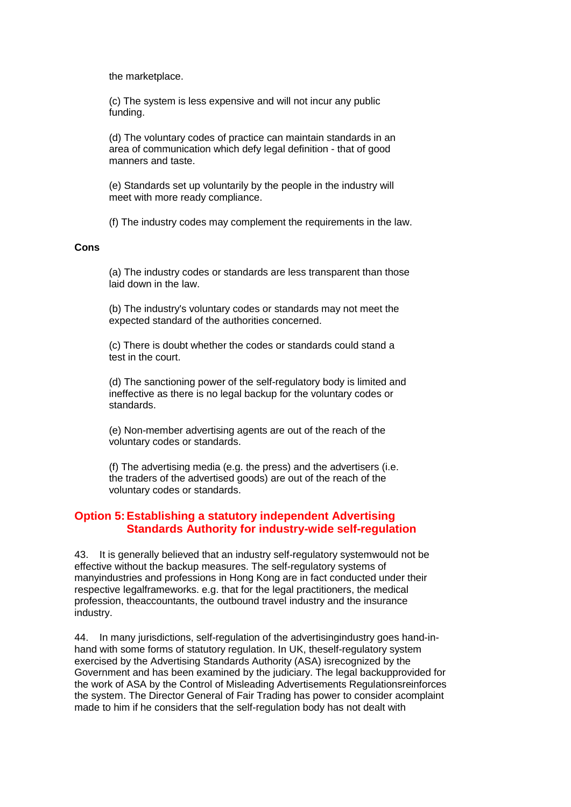the marketplace.

(c) The system is less expensive and will not incur any public funding.

(d) The voluntary codes of practice can maintain standards in an area of communication which defy legal definition - that of good manners and taste.

(e) Standards set up voluntarily by the people in the industry will meet with more ready compliance.

(f) The industry codes may complement the requirements in the law.

#### **Cons**

(a) The industry codes or standards are less transparent than those laid down in the law.

(b) The industry's voluntary codes or standards may not meet the expected standard of the authorities concerned.

(c) There is doubt whether the codes or standards could stand a test in the court.

(d) The sanctioning power of the self-regulatory body is limited and ineffective as there is no legal backup for the voluntary codes or standards.

(e) Non-member advertising agents are out of the reach of the voluntary codes or standards.

(f) The advertising media (e.g. the press) and the advertisers (i.e. the traders of the advertised goods) are out of the reach of the voluntary codes or standards.

# **Option 5:Establishing a statutory independent Advertising Standards Authority for industry-wide self-regulation**

43. It is generally believed that an industry self-regulatory systemwould not be effective without the backup measures. The self-regulatory systems of manyindustries and professions in Hong Kong are in fact conducted under their respective legalframeworks. e.g. that for the legal practitioners, the medical profession, theaccountants, the outbound travel industry and the insurance industry.

44. In many jurisdictions, self-regulation of the advertisingindustry goes hand-inhand with some forms of statutory regulation. In UK, theself-regulatory system exercised by the Advertising Standards Authority (ASA) isrecognized by the Government and has been examined by the judiciary. The legal backupprovided for the work of ASA by the Control of Misleading Advertisements Regulationsreinforces the system. The Director General of Fair Trading has power to consider acomplaint made to him if he considers that the self-regulation body has not dealt with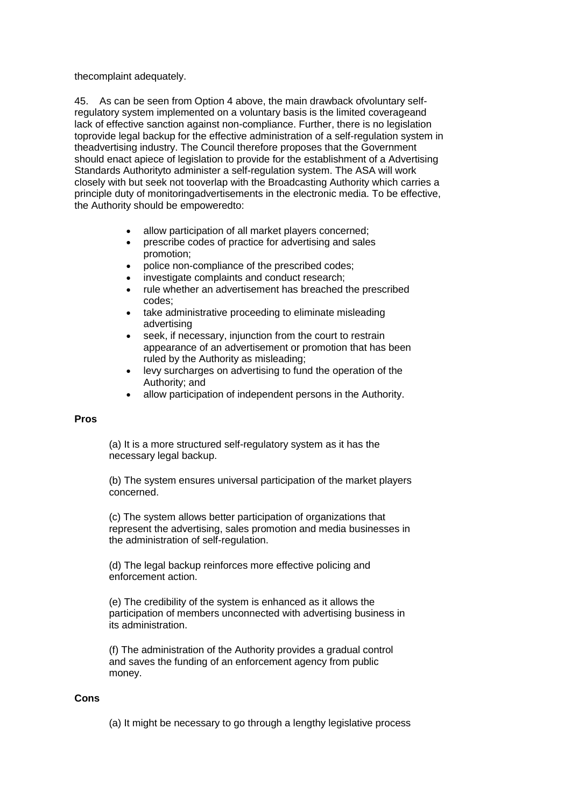thecomplaint adequately.

45. As can be seen from Option 4 above, the main drawback ofvoluntary selfregulatory system implemented on a voluntary basis is the limited coverageand lack of effective sanction against non-compliance. Further, there is no legislation toprovide legal backup for the effective administration of a self-regulation system in theadvertising industry. The Council therefore proposes that the Government should enact apiece of legislation to provide for the establishment of a Advertising Standards Authorityto administer a self-regulation system. The ASA will work closely with but seek not tooverlap with the Broadcasting Authority which carries a principle duty of monitoringadvertisements in the electronic media. To be effective, the Authority should be empoweredto:

- allow participation of all market players concerned;
- prescribe codes of practice for advertising and sales promotion;
- police non-compliance of the prescribed codes;
- investigate complaints and conduct research;
- rule whether an advertisement has breached the prescribed codes;
- take administrative proceeding to eliminate misleading advertising
- seek, if necessary, injunction from the court to restrain appearance of an advertisement or promotion that has been ruled by the Authority as misleading;
- levy surcharges on advertising to fund the operation of the Authority; and
- allow participation of independent persons in the Authority.

#### **Pros**

(a) It is a more structured self-regulatory system as it has the necessary legal backup.

(b) The system ensures universal participation of the market players concerned.

(c) The system allows better participation of organizations that represent the advertising, sales promotion and media businesses in the administration of self-regulation.

(d) The legal backup reinforces more effective policing and enforcement action.

(e) The credibility of the system is enhanced as it allows the participation of members unconnected with advertising business in its administration.

(f) The administration of the Authority provides a gradual control and saves the funding of an enforcement agency from public money.

#### **Cons**

(a) It might be necessary to go through a lengthy legislative process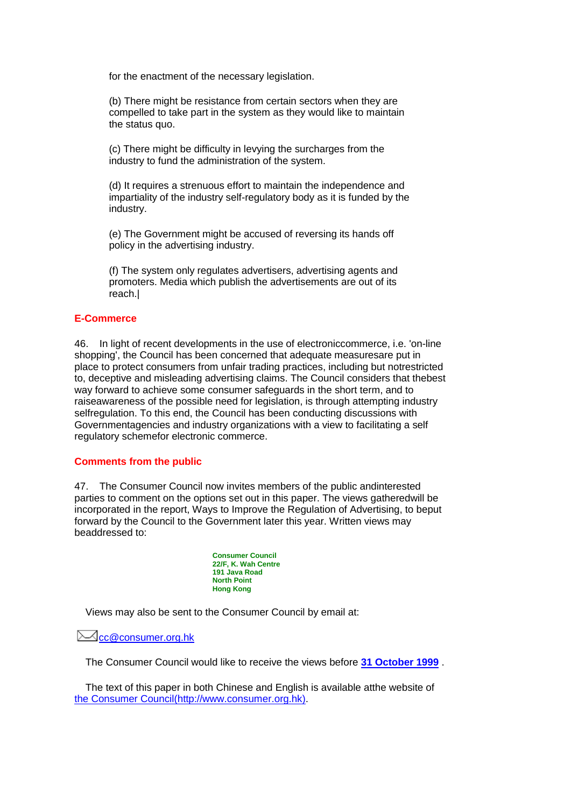for the enactment of the necessary legislation.

(b) There might be resistance from certain sectors when they are compelled to take part in the system as they would like to maintain the status quo.

(c) There might be difficulty in levying the surcharges from the industry to fund the administration of the system.

(d) It requires a strenuous effort to maintain the independence and impartiality of the industry self-regulatory body as it is funded by the industry.

(e) The Government might be accused of reversing its hands off policy in the advertising industry.

(f) The system only regulates advertisers, advertising agents and promoters. Media which publish the advertisements are out of its reach.|

# **E-Commerce**

46. In light of recent developments in the use of electroniccommerce, i.e. 'on-line shopping', the Council has been concerned that adequate measuresare put in place to protect consumers from unfair trading practices, including but notrestricted to, deceptive and misleading advertising claims. The Council considers that thebest way forward to achieve some consumer safeguards in the short term, and to raiseawareness of the possible need for legislation, is through attempting industry selfregulation. To this end, the Council has been conducting discussions with Governmentagencies and industry organizations with a view to facilitating a self regulatory schemefor electronic commerce.

# **Comments from the public**

47. The Consumer Council now invites members of the public andinterested parties to comment on the options set out in this paper. The views gatheredwill be incorporated in the report, Ways to Improve the Regulation of Advertising, to beput forward by the Council to the Government later this year. Written views may beaddressed to:

> **Consumer Council 22/F, K. Wah Centre 191 Java Road North Point Hong Kong**

Views may also be sent to the Consumer Council by email at:

 $\boxtimes$ [cc@consumer.org.hk](mailto:cc@consumer.org.hk)

The Consumer Council would like to receive the views before **31 October 1999** .

The text of this paper in both Chinese and English is available atthe website of [the Consumer Council\(http://www.consumer.org.hk\).](http://www.consumer.org.hk/eindex.htm)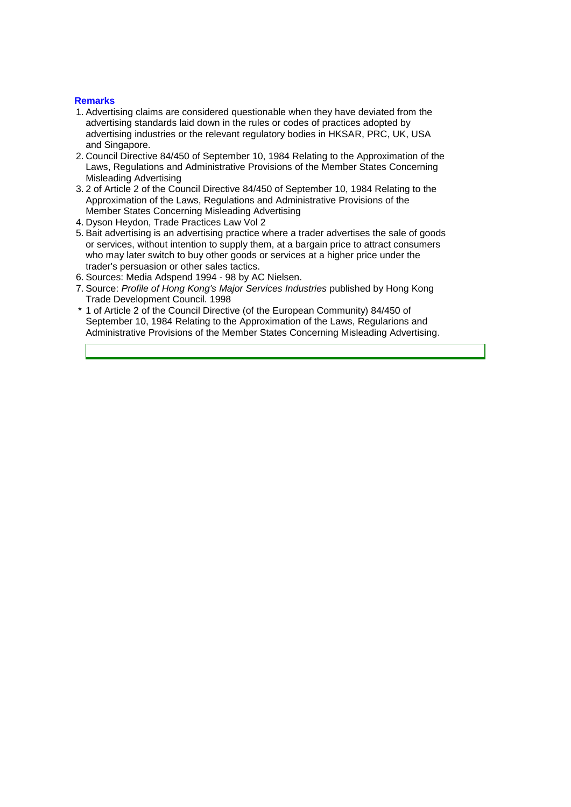## **Remarks**

- 1. Advertising claims are considered questionable when they have deviated from the advertising standards laid down in the rules or codes of practices adopted by advertising industries or the relevant regulatory bodies in HKSAR, PRC, UK, USA and Singapore.
- 2. Council Directive 84/450 of September 10, 1984 Relating to the Approximation of the Laws, Regulations and Administrative Provisions of the Member States Concerning Misleading Advertising
- 3. 2 of Article 2 of the Council Directive 84/450 of September 10, 1984 Relating to the Approximation of the Laws, Regulations and Administrative Provisions of the Member States Concerning Misleading Advertising
- 4. Dyson Heydon, Trade Practices Law Vol 2
- 5. Bait advertising is an advertising practice where a trader advertises the sale of goods or services, without intention to supply them, at a bargain price to attract consumers who may later switch to buy other goods or services at a higher price under the trader's persuasion or other sales tactics.
- 6. Sources: Media Adspend 1994 98 by AC Nielsen.
- 7. Source: *Profile of Hong Kong's Major Services Industries* published by Hong Kong Trade Development Council. 1998
- \* 1 of Article 2 of the Council Directive (of the European Community) 84/450 of September 10, 1984 Relating to the Approximation of the Laws, Regularions and Administrative Provisions of the Member States Concerning Misleading Advertising.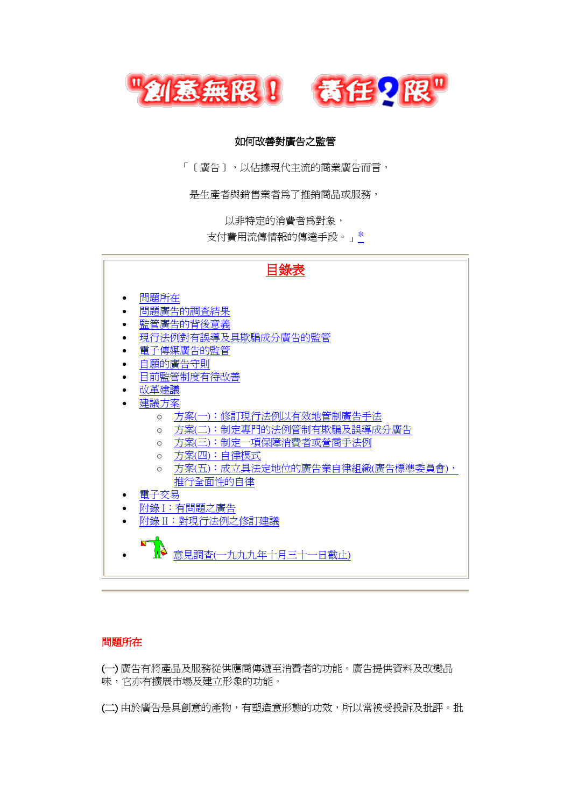

# 如何改善對廣告之監管

「〔廣告〕,以佔據現代主流的商業廣告而言,

是生產者與銷售業者為了推銷商品或服務,

以非特定的消費者為對象,

支付費用流傳情報的傳達手段。」[\\*](http://www.consumer.org.hk/website/wrap_chi2/misad99/chinese/report.htm#cover01)

| 目錄表                                        |
|--------------------------------------------|
| 問題所在                                       |
| 問題廣告的調査結果                                  |
| 監管廣告的背後意義                                  |
| 現行法例對有誤導及具欺騙成分廣告的監管                        |
| 電子傳媒廣告的監管                                  |
| 自願的廣告守則                                    |
| 目前監管制度有待改善                                 |
| 改革建議                                       |
| 建議方案                                       |
| 方案(一):修訂現行法例以有效地管制廣告手法<br>$\circ$          |
| 方案(二):制定專門的法例管制有欺騙及誤導成分廣告<br>$\circ$       |
| 方案(三):制定一項保障消費者或營商手法例<br>O                 |
| 方案(四):自律模式<br>$\circ$                      |
| 方案(五):成立具法定地位的廣告業自律組織(廣告標準委員會),<br>$\circ$ |
| 推行全面性的自律                                   |
| 電子交易                                       |
| 附錄 I: 有問題之廣告                               |
| 附錄 II:對現行法例之修訂建議                           |
| 意見調査(一九九九年十月三十一日截止)                        |

# 問題所在

(一) 廣告有將產品及服務從供應商傳遞至消費者的功能。廣告提供資料及改變品 味,它亦有擴展市場及建立形象的功能。

(二) 由於廣告是具創意的產物,有塑造意形態的功效,所以常被受投訴及批評。批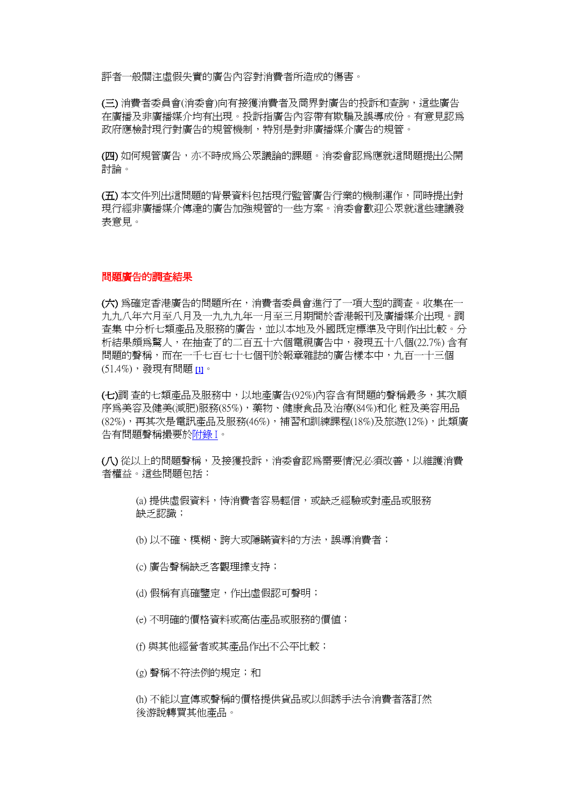評者一般關注虛假失實的廣告內容對消費者所造成的傷害。

(三) 消費者委員會(消委會)向有接獲消費者及商界對廣告的投訴和查詢,這些廣告 在廣播及非廣播媒介均有出現。投訴指廣告內容帶有欺騙及誤導成份。有意見認為 政府應檢討現行對廣告的規管機制,特別是對非廣播媒介廣告的規管。

(四) 如何規管廣告,亦不時成為公眾議論的課題。消委會認為應就這問題提出公開 討論。

(五) 本文件列出這問題的背景資料包括現行監管廣告行業的機制運作,同時提出對 現行經非廣播媒介傳達的廣告加強規管的一些方案。消委會歡迎公眾就這些建議發 表意見。

#### 問題廣告的調查結果

(六) 為確定香港廣告的問題所在,消費者委員會進行了一項大型的調查。收集在一 九九八年六月至八月及一九九九年一月至三月期間於香港報刊及廣播媒介出現。調 查集 中分析七類產品及服務的廣告,並以本地及外國既定標準及守則作出比較。分 析結果頗為驚人,在抽查了的二百五十六個電視廣告中,發現五十八個(22.7%) 含有 問題的聲稱,而在一千七百七十七個刊於報章雜誌的廣告樣本中,九百一十三個 (51.4%),發現有問題 [\[1\]](http://www.consumer.org.hk/website/wrap_chi2/misad99/chinese/report.htm#Remark1)。

(七)調 查的七類產品及服務中,以地產廣告(92%)內容含有問題的聲稱最多,其次順 序為美容及健美(減肥)服務(85%),藥物、健康食品及治療(84%)和化 粧及美容用品 (82%),再其次是電訊產品及服務(46%),補習和訓練課程(18%)及旅遊(12%),此類廣 告有問題聲稱撮要[於附錄](http://www.consumer.org.hk/website/wrap_chi2/misad99/chinese/app1.htm) I。

(八) 從以上的問題聲稱,及接獲投訴,消委會認為需要情況必頇改善,以維護消費 者權益。這些問題包括:

(a) 提供虛假資料,恃消費者容易輕信,或缺乏經驗或對產品或服務 缺乏認識;

(b) 以不確、模糊、誇大或隱瞞資料的方法,誤導消費者;

- (c) 廣告聲稱缺乏客觀理據支持;
- (d) 假稱有真確鑒定,作出虛假認可聲明;
- (e) 不明確的價格資料或高估產品或服務的價值;
- (f) 與其他經營者或其產品作出不公帄比較;

(g) 聲稱不符法例的規定;和

(h) 不能以宣傳或聲稱的價格提供貨品或以餌誘手法令消費者落訂然 後游說轉買其他產品。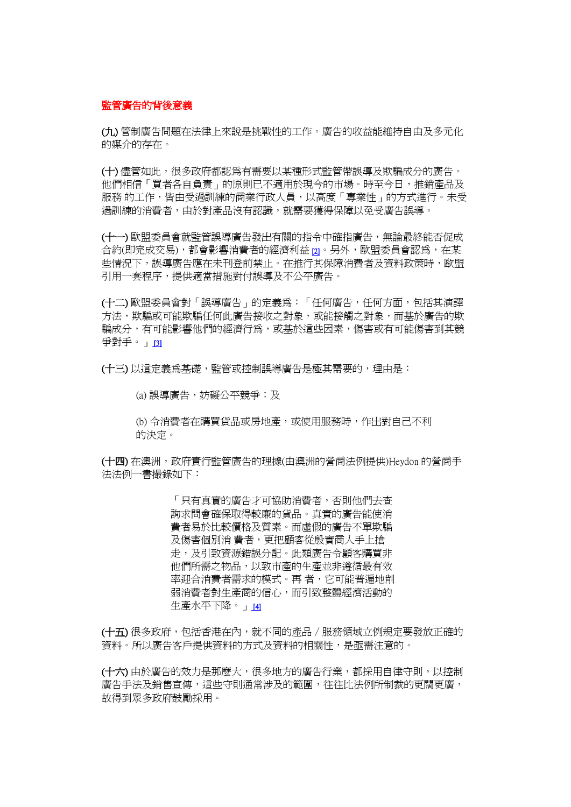### 監管廣告的背後意義

(九) 管制廣告問題在法律上來說是挑戰性的工作。廣告的收益能維持自由及多元化 的媒介的存在。

(十) 儘管如此,很多政府都認爲有需要以某種形式監管帶誤導及欺騙成分的廣告。 他們相信「買者各自負責」的原則已不適用於現今的市場。時至今日,推銷產品及 服務 的工作,皆由受過訓練的商業行政人員,以高度「專業性」的方式淮行。未受 過訓練的消費者,由於對產品沒有認識,就需要獲得保障以免受廣告誤導。

(十一) 歐盟委員會就監管誤導廣告發出有關的指令中確指廣告,無論最終能否促成 合約(即宗成交易),都會影響消費者的經濟利益 [\[2\]](http://www.consumer.org.hk/website/wrap_chi2/misad99/chinese/report.htm#Remark2)。另外,歐盟委員會認爲,在某 些情況下,誤導廣告應在未刊登前禁止。在推行其保障消費者及資料政策時,歐盟 引用一套程序,提供適當措施對付誤導及不公平廣告。

(十二) 歐盟委員會對「誤導廣告」的定義為:「任何廣告,任何方面,包括其演譯 方法,欺騙或可能欺騙任何此廣告接收之對象,或能接觸之對象,而基於廣告的欺 騙成分,有可能影響他們的經濟行為,或基於這些因素,傷害或有可能傷害到其競 爭對手。」 [\[3\]](http://www.consumer.org.hk/website/wrap_chi2/misad99/chinese/report.htm#Remark3)

(十三) 以這定義為基礎,監管或控制誤導廣告是極其需要的,理由是:

(a) 誤導廣告,妨礙公帄競爭;及

(b) 令消費者在購買貨品或房地產,或使用服務時,作出對自己不利 的決定。

(十四) 在澳洲, 政府實行監管廣告的理據(由澳洲的營商法例提供)Hevdon 的營商手 法法例一書撮錄如下:

> 「只有真實的廣告才可協助消費者,否則他們去查 詢求問會確保取得較廉的貨品。真實的廣告能使消 費者易於比較價格及質素。而虛假的廣告不單欺騙 及傷害個別消 費者,更把顧客從殷實商人手上搶 走,及引致資源錯誤分配。此類廣告令顧客購買非 他們所需之物品,以致市產的生產並非遵循最有效 率迎合消費者需求的模式。再 者,它可能普遍地削 弱消費者對生產商的信心,而引致整體經濟活動的 牛產水平下降。 141

(十五) 很多政府,包括香港在內,就不同的產品∕服務領域立例規定要發放正確的 資料。所以廣告客戶提供資料的方式及資料的相關性,是亟需注意的。

(十六) 由於廣告的效力是那麼大,很多地方的廣告行業,都採用自律守則,以控制 廣告手法及銷售宣傳,這些守則通常涉及的範圍,往往比法例所制裁的更闊更廣, 故得到眾多政府鼓勵採用。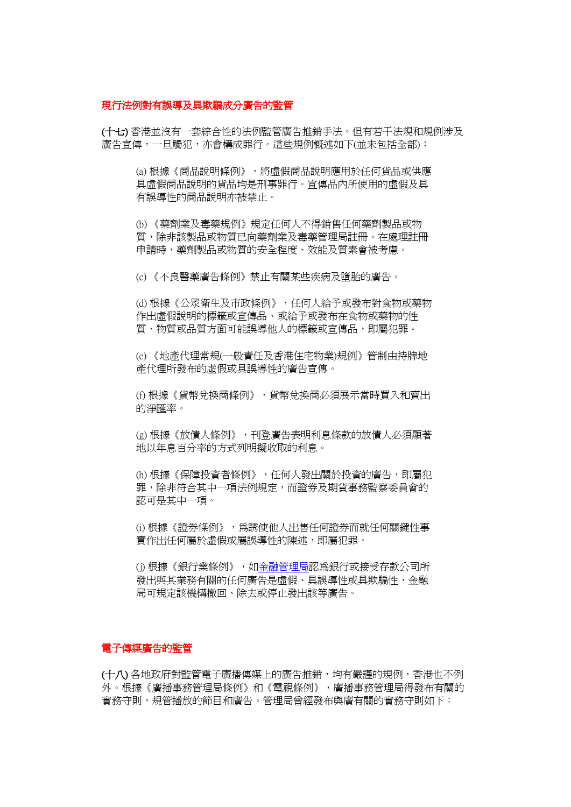### 現行法例對有誤導及具欺騙成分廣告的監管

(十七) 香港並沒有一套綜合性的法例監管廣告推銷手法。但有若干法規和規例涉及 廣告宣傳,一旦觸犯,亦會構成罪行。這些規例概述如下(並未包括全部):

(a) 根據《商品說明條例》,將虛假商品說明應用於任何貨品或供應 具虛假商品說明的貨品均是刑事罪行。宣傳品內所使用的虛假及具 有誤導性的商品說明亦被禁止。

(b) 《藥劑業及毒藥規例》規定任何人不得銷售任何藥劑製品或物 質,除非該製品或物質已向藥劑業及毒藥管理局註冊。在處理註冊 申請時,藥劑製品或物質的安全程度、效能及質素會被考慮。

(c) 《不良醫藥廣告條例》禁止有關某些疾病及墮胎的廣告。

(d) 根據《公眾衛生及市政條例》,任何人給予或發布對食物或藥物 作出虛假說明的標籤或宣傳品、或給予或發布在食物或藥物的性 質、物質或品質方面可能誤導他人的標籤或宣傳品,即屬犯罪。

(e) 《地產代理常規(一般責任及香港住宅物業)規例》管制由持牌地 產代理所發布的虛假或具誤導性的廣告宣傳。

(f) 根據《貨幣兌換商條例》,貨幣兌換商必頇展示當時買入和賣出 的淨匯率。

(g) 根據《放債人條例》,刊登廣告表明利息條款的放債人必頇顯著 地以年息百分率的方式列明擬收取的利息。

(h) 根據《保障投資者條例》,任何人發出關於投資的廣告,即屬犯 罪,除非符合其中一項法例規定,而證券及期貨事務監察委員會的 認可是其中一項。

(i) 根據《證券條例》,為誘使他人出售任何證券而就任何關鍵性事 實作出任何屬於虛假或屬誤導性的陳述,即屬犯罪。

(j) 根據《銀行業條例》,[如金融管理局認](http://www.info.gov.hk/hkma/)為銀行或接受存款公司所 發出與其業務有關的任何廣告是虛假、具誤導性或具欺騙性,金融 局可規定該機構撤回、除去或停止發出該等廣告。

# 電子傳媒廣告的監管

(十八) 各地政府對監管電子廣播傳媒上的廣告推銷,均有嚴謹的規例,香港也不例 外。根據《廣播事務管理局條例》和《電視條例》,廣播事務管理局得發布有關的 實務守則,規管播放的節目和廣告。管理局曾經發布與廣有關的實務守則如下: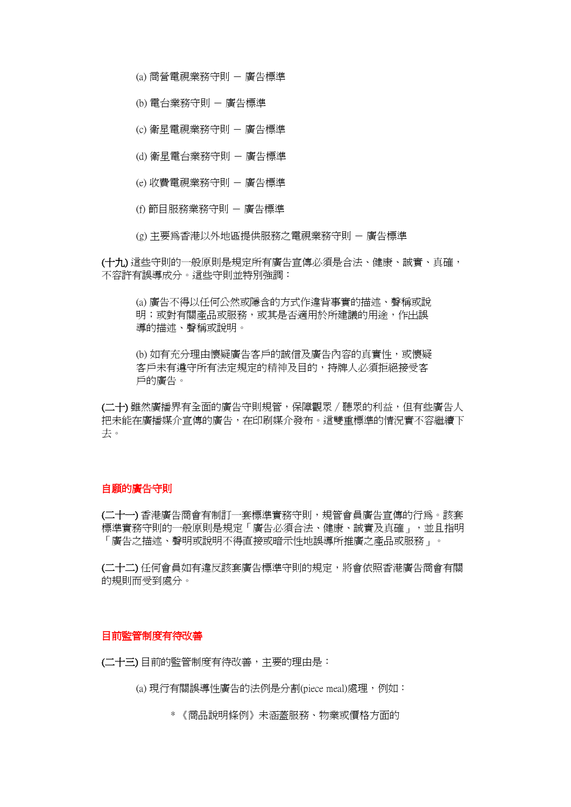(a) 商營電視業務守則 - 廣告標準

(b) 電台業務守則 - 廣告標準

(c) 衛星電視業務守則 - 廣告標準

- (d) 衛星電台業務守則 廣告標準
- (e) 收費電視業務守則 廣告標準
- (f) 節目服務業務守則 廣告標準

(g) 主要為香港以外地區提供服務之電視業務守則 - 廣告標準

(十九) 這些守則的一般原則是規定所有廣告宣傳必頇是合法、健康、誠實、真確, 不容許有誤導成分。這些守則並特別強調:

(a) 廣告不得以任何公然或隱含的方式作違背事實的描述、聲稱或說 明;或對有關產品或服務,或其是否適用於所建議的用涂,作出誤 導的描述、聲稱或說明。

(b) 如有充分理由懷疑廣告客戶的誠信及廣告內容的真實性,或懷疑 客戶未有遵守所有法定規定的精神及目的,持牌人必頇拒絕接受客 戶的廣告。

(二十) 雖然廣播界有全面的廣告守則規管,保障觀眾/聽眾的利益,但有些廣告人 把未能在廣播媒介宣傳的廣告,在印刷媒介發布。這雙重標準的情況實不容繼續下 去。

### 自願的廣告守則

(二十一) 香港廣告商會有制訂一套標準實務守則,規管會員廣告宣傳的行為。該套 標準實務守則的一般原則是規定「廣告必須合法、健康、誠實及真確」,並且指明 「廣告之描述、聲明或說明不得直接或暗示性地誤導所推廣之產品或服務」。

(二十二) 任何會員如有違反該套廣告標準守則的規定,將會依照香港廣告商會有關 的規則而受到處分。

# 目前監管制度有待改善

(二十三) 目前的監管制度有待改善,主要的理由是:

(a) 現行有關誤導性廣告的法例是分割(piece meal)處理,例如:

\* 《商品說明條例》未涵蓋服務、物業或價格方面的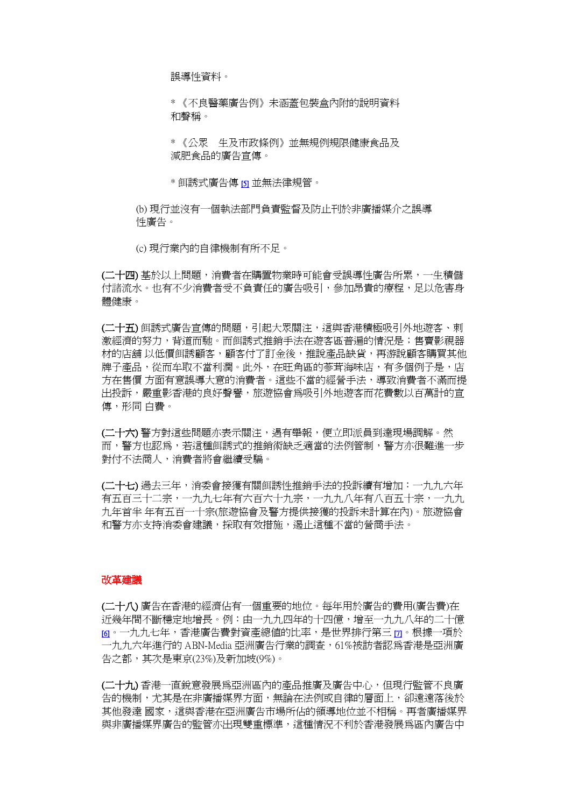誤導性資料。

\* 《不良醫藥廣告例》未涵蓋包裝盒內附的說明資料 和聲稱。

\* 《公眾 生及市政條例》並無規例規限健康食品及 減肥食品的廣告宣傳。

\* 餌誘式廣告傳 [\[5\]](http://www.consumer.org.hk/website/wrap_chi2/misad99/chinese/report.htm#Remark5) 並無法律規管。

(b) 現行並沒有一個執法部門負責監督及防止刊於非廣播媒介之誤導 性廣告。

(c) 現行業內的自律機制有所不足。

(二十四) 基於以上問題,消費者在購置物業時可能會受誤導性廣告所累,一生積儲 付諸流水。也有不少消費者受不負責任的廣告吸引,參加昂貴的療程,足以危害身 體健康。

(二十五) 餌誘式廣告宣傳的問題,引起大眾關注,這與香港積極吸引外地遊客、刺 激經濟的努力,背道而馳。而餌誘式推銷手法在遊客區普遍的情況是;售賣影視器 材的店舖 以低價餌誘顧客,顧客付了訂金後,推說產品缺貨,再游說顧客購買其他 牌子產品,從而牟取不當利潤。此外,在旺角區的蔘茸海味店,有多個例子是,店 方在售價 方面有意誤導大意的消費者。這些不當的經營手法,導致消費者不滿而提 出投訴,嚴重影香港的良好聲譽,旅遊協會為吸引外地遊客而花費數以百萬計的宣 傳,形同 白費。

(二十六) 警方對這些問題亦表示關注,遇有舉報,便立即派員到達現場調解。然 而,警方也認為,若這種餌誘式的推銷術缺乏適當的法例管制,警方亦很難進一步 對付不法商人,消費者將會繼續受騙。

(二十七) 過去三年,消委會接獲有關餌誘性推銷手法的投訴續有增加:一九九六年 有五百三十二宗,一九九七年有六百六十九宗,一九九八年有八百五十宗,一九九 九年首半 年有五百一十宗(旅遊協會及警方提供接獲的投訴未計算在內)。旅遊協會 和警方亦支持消委會建議,採取有效措施,遏止這種不當的營商手法。

#### 改革建議

(二十八) 廣告在香港的經濟佔有一個重要的地位。每年用於廣告的費用(廣告費)在 近幾年間不斷穩定地增長。例:由一九九四年的十四億,增至一九九八年的二十億 [\[6\]](http://www.consumer.org.hk/website/wrap_chi2/misad99/chinese/report.htm#Remark6)。一九九七年,香港廣告費對資產總值的比率,是世界排行第三 [\[7\]](http://www.consumer.org.hk/website/wrap_chi2/misad99/chinese/report.htm#Remark7)。根據一項於 一九九六年進行的 ABN-Media 亞洲廣告行業的調查,61%被訪者認為香港是亞洲廣 告之都,其次是東京(23%)及新加坡(9%)。

(二十九) 香港一直銳意發展為亞洲區內的產品推廣及廣告中心,但現行監管不良廣 告的機制,尤其是在非廣播媒界方面,無論在法例或自律的層面上,卻遠遠落後於 其他發達 國家,這與香港在亞洲廣告市場所佔的領導地位並不相稱。再者廣播媒界 與非廣播媒界廣告的監管亦出現雙重標準,這種情況不利於香港發展為區內廣告中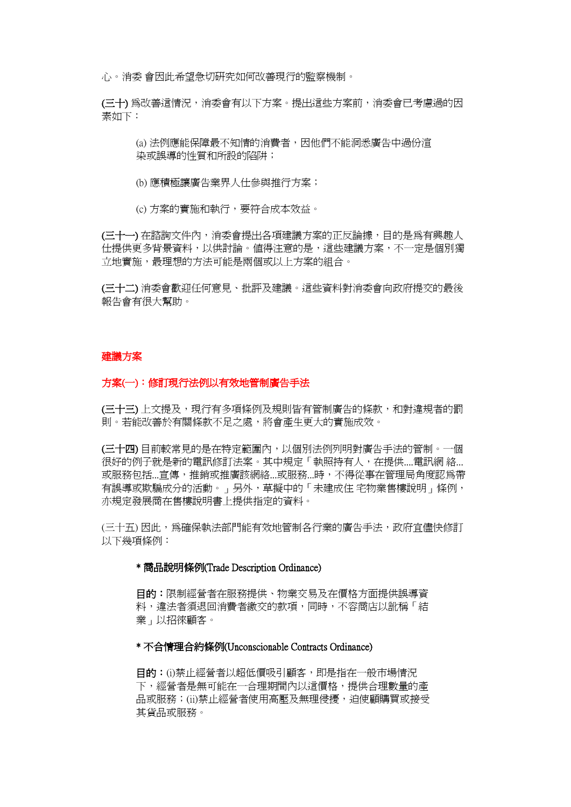心。消委 會因此希望急切研究如何改善現行的監察機制。

(三十) 為改善這情況,消委會有以下方案。提出這些方案前,消委會已考慮過的因 素如下:

(a) 法例應能保障最不知情的消費者,因他們不能洞悉廣告中過份渲 染或誤導的性質和所設的陷阱;

(b) 應積極讓廣告業界人仕參與推行方案;

(c) 方案的實施和執行,要符合成本效益。

(三十一) 在諮詢文件內,消委會提出各項建議方案的正反論據, 目的是為有興趣人 仕提供更多背景資料,以供討論。值得注意的是,這些建議方案,不一定是個別獨 立地實施,最理想的方法可能是兩個或以上方案的組合。

(三十二) 消委會歡迎任何意見、批評及建議。這些資料對消委會向政府提交的最後 報告會有很大幫助。

#### 建議方案

#### 方案(一):修訂現行法例以有效地管制廣告手法

(三十三) 上文提及,現行有多項條例及規則皆有管制廣告的條款,和對違規者的罰 則。若能改善於有關條款不足之處,將會產生更大的實施成效。

(三十四) 目前較常見的是在特定範圍內,以個別法例列明對廣告手法的管制。一個 很好的例子就是新的電訊修訂法案。其中規定「執照持有人,在提供....電訊網 絡... 或服務包括...宣傳,推銷或推廣該網絡...或服務...時,不得從事在管理局角度認為帶 有誤導或欺騙成分的活動。」另外,草擬中的「未建成住 宅物業售樓說明」條例, 亦規定發展商在售樓說明書上提供指定的資料。

(三十五) 因此,為確保執法部門能有效地管制各行業的廣告手法,政府宜儘快修訂 以下幾項條例:

### \* 商品說明條例(Trade Description Ordinance)

目的:限制經營者在服務提供、物業交易及在價格方面提供誤導資 料,違法者須退回消費者繳交的款項,同時,不容商店以訛稱「結 業」以招徠顧客。

\* 不合情理合約條例(Unconscionable Contracts Ordinance)

目的:(i)禁止經營者以超低價吸引顧客,即是指在一般市場情況 下,經營者是無可能在一合理期間內以這價格,提供合理數量的產 品或服務;(ii)禁止經營者使用高壓及無理侵擾,迫使顧購買或接受 其貨品或服務。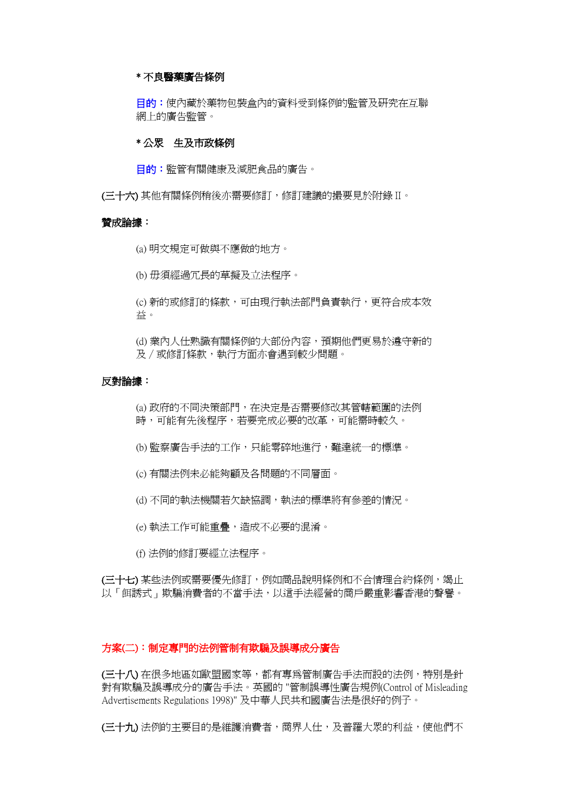# \* 不良醫藥廣告條例

目的:使內藏於藥物包裝盒內的資料受到條例的監管及研究在互聯 網上的廣告監管。

# \* 公眾 牛及市政條例

目的:監管有關健康及減肥食品的廣告。

(三十六) 其他有關條例稍後亦需要修訂,修訂建議的撮要見於附錄 II。

#### 贊成論據:

(a) 明文規定可做與不應做的地方。

(b) 毋頇經過冗長的草擬及立法程序。

(c) 新的或修訂的條款,可由現行執法部門負責執行,更符合成本效 益。

(d) 業內人仕熟識有關條例的大部份內容,預期他們更易於遵守新的 及/或修訂條款,執行方面亦會遇到較少問題。

#### 反對論據:

(a) 政府的不同決策部門,在決定是否需要修改其管轄範圍的法例 時,可能有先後程序,若要完成必要的改革,可能需時較久。

(b) 監察廣告手法的工作,只能零碎地進行,難達統一的標準。

(c) 有關法例未必能夠顧及各問題的不同層面。

(d) 不同的執法機關若欠缺協調,執法的標準將有參差的情況。

(e) 執法工作可能重疊,造成不必要的混淆。

(f) 法例的修訂要經立法程序。

(三十七) 某些法例或需要優先修訂,例如商品說明條例和不合情理合約條例,竭止 以「餌誘式」欺騙消費者的不當手法,以這手法經營的商戶嚴重影響香港的聲譽。

#### 方案(二):制定專門的法例管制有欺騙及誤導成分廣告

(三十八) 在很多地區如歐盟國家等,都有專為管制廣告手法而設的法例,特別是針 對有欺騙及誤導成分的廣告手法。英國的 "管制誤導性廣告規例(Control of Misleading Advertisements Regulations 1998)" 及中華人民共和國廣告法是很好的例子。

(三十九) 法例的主要目的是維護消費者,商界人仕,及普羅大眾的利益,使他們不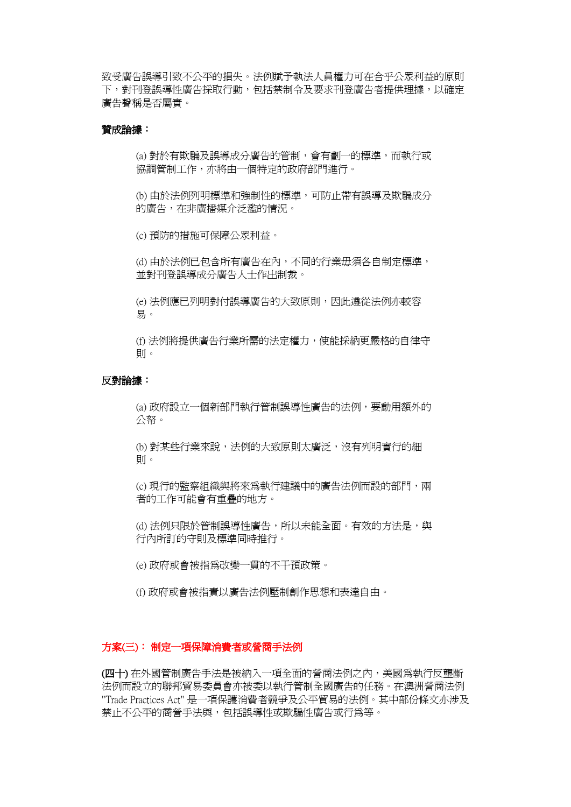致受廣告誤導引致不公平的損失。法例賦予執法人員權力可在合乎公眾利益的原則 下,對刊登誤導性廣告採取行動,包括禁制令及要求刊登廣告者提供理據,以確定 廣告聲稱是否屬實。

# 贊成論據:

(a) 對於有欺騙及誤導成分廣告的管制,會有劃一的標準,而執行或 協調管制工作,亦將由一個特定的政府部門進行。

(b) 由於法例列明標準和強制性的標準,可防止帶有誤導及欺騙成分 的廣告,在非廣播媒介泛濫的情況。

(c) 預防的措施可保障公眾利益。

(d) 由於法例已包含所有廣告在內,不同的行業毋頇各自制定標準, 並對刊登誤導成分廣告人士作出制裁。

(e) 法例應已列明對付誤導廣告的大致原則,因此遵從法例亦較容 易。

(f) 法例將提供廣告行業所需的法定權力,使能採納更嚴格的自律守 則。

### 反對論據:

(a) 政府設立一個新部門執行管制誤導性廣告的法例,要動用額外的 公帑。

(b) 對某些行業來說,法例的大致原則太廣泛,沒有列明實行的細 則。

(c) 現行的監察組織與將來為執行建議中的廣告法例而設的部門,兩 者的工作可能會有重疊的地方。

(d) 法例只限於管制誤導性廣告, 所以未能全面。有效的方法是, 與 行內所訂的守則及標準同時推行。

(e) 政府或會被指為改變一貫的不干預政策。

(f) 政府或會被指責以廣告法例壓制創作思想和表達自由。

# 方案(三): 制定一項保障消費者或營商手法例

(四十) 在外國管制廣告手法是被納入一項全面的營商法例之內,美國為執行反壟斷 法例而設立的聯邦貿易委員會亦被委以執行管制全國廣告的任務。在澳洲營商法例 "Trade Practices Act" 是一項保護消費者競爭及公帄貿易的法例。其中部份條文亦涉及 禁止不公帄的商營手法與,包括誤導性或欺騙性廣告或行為等。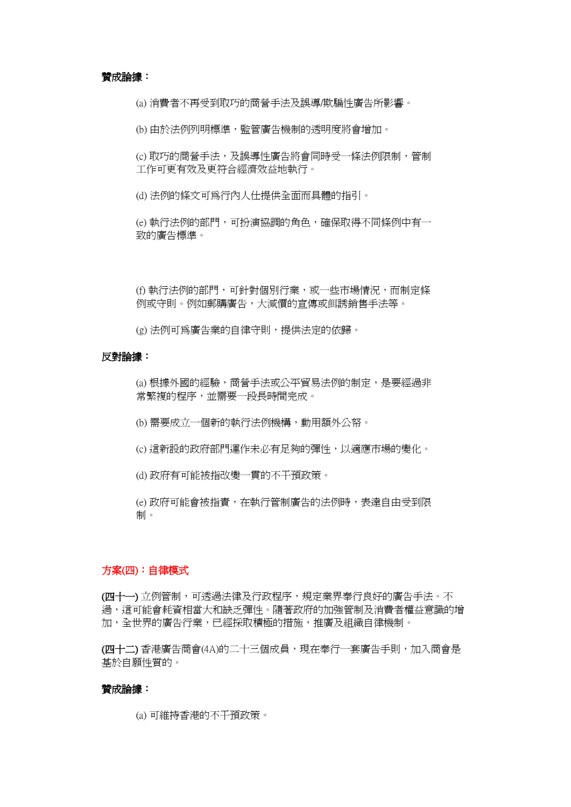#### 贊成論據:

(a) 消費者不再受到取巧的商營手法及誤導/欺騙性廣告所影響。

(b) 由於法例列明標準,監管廣告機制的透明度將會增加。

(c) 取巧的商營手法,及誤導性廣告將會同時受一條法例限制, 管制 工作可更有效及更符合經濟效益地執行。

(d) 法例的條文可為行內人仕提供全面而具體的指引。

(e) 執行法例的部門,可扮演協調的角色,確保取得不同條例中有一 致的廣告標準。

(f) 執行法例的部門,可針對個別行業,或一些市場情況,而制定條 例或守則。例如郵購廣告,大減價的宣傳或餌誘銷售手法等。

(g) 法例可為廣告業的自律守則,提供法定的依歸。

#### 反對論據:

(a) 根據外國的經驗,商營手法或公帄貿易法例的制定,是要經過非 常繁複的程序,並需要一段長時間完成。

- (b) 需要成立一個新的執行法例機構,動用額外公帑。
- (c) 這新設的政府部門運作未必有足夠的彈性,以適應市場的變化。
- (d) 政府有可能被指改變一貫的不干預政策。

(e) 政府可能會被指責,在執行管制廣告的法例時,表達自由受到限 制。

# 方案(四):自律模式

(四十一) 立例管制,可透過法律及行政程序,規定業界奉行良好的廣告手法。不 過,這可能會耗資相當大和缺乏彈性。隨著政府的加強管制及消費者權益意識的增 加,全世界的廣告行業,已經採取積極的措施,推廣及組織自律機制。

(四十二) 香港廣告商會(4A)的二十三個成員,現在奉行一套廣告手則,加入商會是 基於自願性質的。

#### 贊成論據:

(a) 可維持香港的不干預政策。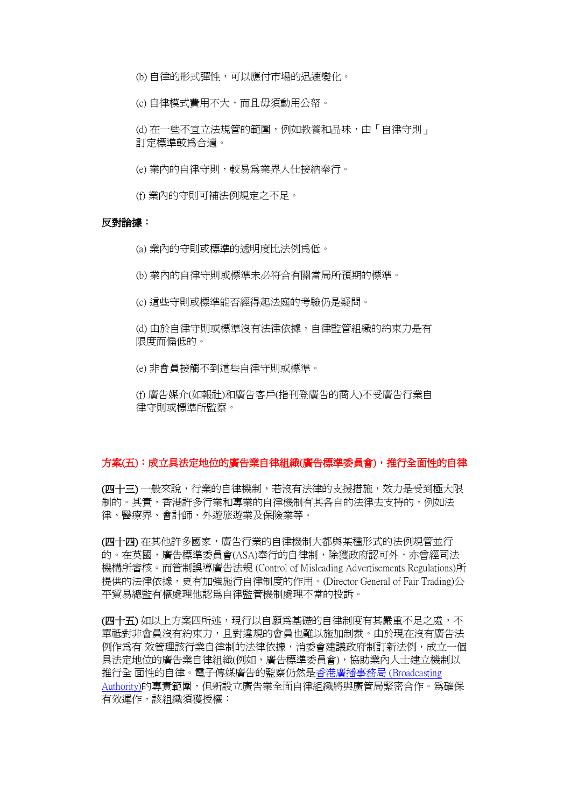(b) 自律的形式彈性,可以應付市場的迅速變化。

(c) 自律模式費用不大,而且毋頇動用公帑。

(d) 在一些不宜立法規管的範圍,例如教養和品味,由「自律守則」 訂定標準較為合適。

(e) 業內的自律守則,較易為業界人仕接納奉行。

(f) 業內的守則可補法例規定之不足。

#### 反對論據:

(a) 業內的守則或標準的透明度比法例為低。

(b) 業內的自律守則或標準未必符合有關當局所預期的標準。

(c) 這些守則或標準能否經得起法庭的考驗仍是疑問。

(d) 由於自律守則或標準沒有法律依據,自律監管組織的約束力是有 限度而偏低的。

(e) 非會員接觸不到這些自律守則或標準。

(f) 廣告媒介(如報社)和廣告客戶(指刊登廣告的商人)不受廣告行業自 律守則或標準所監察。

#### 方案(五):成立具法定地位的廣告業自律組織(廣告標準委員會),推行全面性的自律

(四十三) 一般來說,行業的自律機制,若沒有法律的支援措施,效力是受到極大限 制的。其實,香港許多行業和專業的自律機制有其各自的法律去支持的,例如法 律、醫療界、會計師、外遊旅遊業及保險業等。

(四十四) 在其他許多國家,廣告行業的自律機制大都與某種形式的法例規管並行 的。在英國,廣告標準委員會(ASA)奉行的自律制,除獲政府認可外,亦曾經司法 機構所審核。而管制誤導廣告法規 (Control of Misleading Advertisements Regulations)所 提供的法律依據,更有加強施行自律制度的作用。(Director General of Fair Trading)公 帄貿易總監有權處理他認為自律監管機制處理不當的投訴。

(四十五) 如以上方案四所述,現行以自願爲基礎的自律制度有其嚴重不足之處,不 單祗對非會員沒有約束力,且對違規的會員也難以施加制裁。由於現在沒有廣告法 例作為有 效管理該行業自律制的法律依據,消委會建議政府制訂新法例,成立一個 具法定地位的廣告業自律組織(例如,廣告標準委員會),協助業內人士建立機制以 推行全 面性的自律。電子傳媒廣告的監察仍然[是香港廣播事務局](http://www.hkba.org.hk/) (Broadcasting [Authority\)的](http://www.hkba.org.hk/)專責範圍,但新設立廣告業全面自律組織將與廣管局緊密合作。為確保 有效運作,該組織頇獲授權: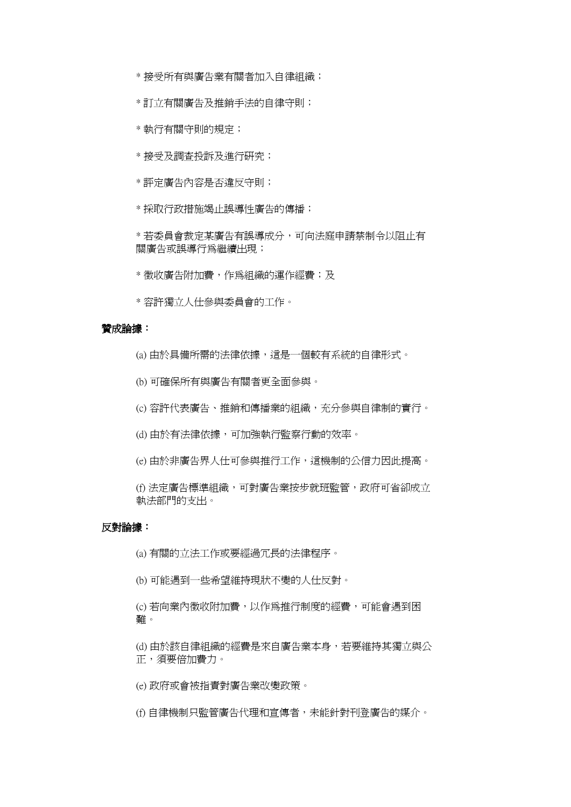- \* 接受所有與廣告業有關者加入自律組織;
- \* 訂立有關廣告及推銷手法的自律守則;
- \* 執行有關守則的規定;
- \* 接受及調查投訴及進行研究;
- \* 評定廣告內容是否違反守則;
- \* 採取行政措施竭止誤導性廣告的傳播;

\* 若委員會裁定某廣告有誤導成分,可向法庭申請禁制令以阻止有 關廣告或誤導行為繼續出現;

\* 徵收廣告附加費,作為組織的運作經費;及

\* 容許獨立人仕參與委員會的工作。

#### 贊成論據:

(a) 由於具備所需的法律依據,這是一個較有系統的自律形式。

- (b) 可確保所有與廣告有關者更全面參與。
- (c) 容許代表廣告、推銷和傳播業的組織,充分參與自律制的實行。
- (d) 由於有法律依據,可加強執行監察行動的效率。
- (e) 由於非廣告界人仕可參與推行工作,這機制的公信力因此提高。

(f) 法定廣告標準組織,可對廣告業按步就班監管,政府可省卻成立 執法部門的支出。

# 反對論據:

(a) 有關的立法工作或要經過冗長的法律程序。

(b) 可能遇到一些希望維持現狀不變的人仕反對。

(c) 若向業內徵收附加費,以作為推行制度的經費,可能會遇到困 難。

(d) 由於該自律組織的經費是來自廣告業本身,若要維持其獨立與公 正,頇要倍加費力。

(e) 政府或會被指責對廣告業改變政策。

(f) 自律機制只監管廣告代理和宣傳者,未能針對刊登廣告的媒介。